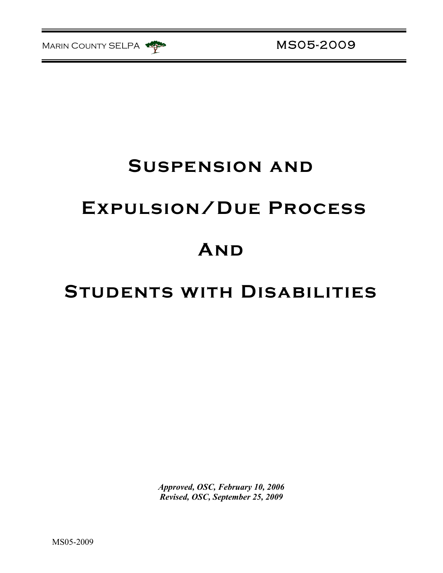

# **Suspension and**

# **Expulsion/Due Process**

# **And**

## **Students with Disabilities**

*Approved, OSC, February 10, 2006 Revised, OSC, September 25, 2009*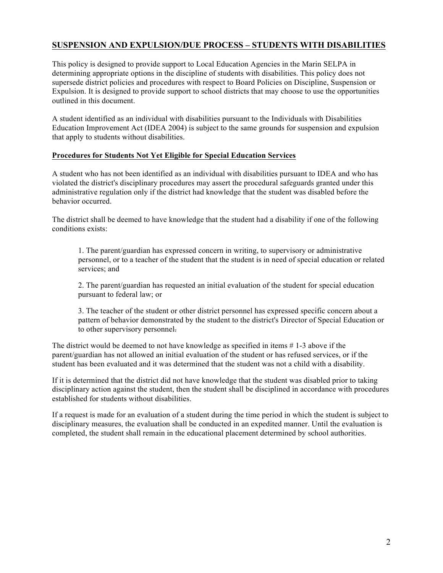### **SUSPENSION AND EXPULSION/DUE PROCESS – STUDENTS WITH DISABILITIES**

This policy is designed to provide support to Local Education Agencies in the Marin SELPA in determining appropriate options in the discipline of students with disabilities. This policy does not supersede district policies and procedures with respect to Board Policies on Discipline, Suspension or Expulsion. It is designed to provide support to school districts that may choose to use the opportunities outlined in this document.

A student identified as an individual with disabilities pursuant to the Individuals with Disabilities Education Improvement Act (IDEA 2004) is subject to the same grounds for suspension and expulsion that apply to students without disabilities.

### **Procedures for Students Not Yet Eligible for Special Education Services**

A student who has not been identified as an individual with disabilities pursuant to IDEA and who has violated the district's disciplinary procedures may assert the procedural safeguards granted under this administrative regulation only if the district had knowledge that the student was disabled before the behavior occurred.

The district shall be deemed to have knowledge that the student had a disability if one of the following conditions exists:

1. The parent/guardian has expressed concern in writing, to supervisory or administrative personnel, or to a teacher of the student that the student is in need of special education or related services; and

2. The parent/guardian has requested an initial evaluation of the student for special education pursuant to federal law; or

3. The teacher of the student or other district personnel has expressed specific concern about a pattern of behavior demonstrated by the student to the district's Director of Special Education or to other supervisory personnel.

The district would be deemed to not have knowledge as specified in items # 1-3 above if the parent/guardian has not allowed an initial evaluation of the student or has refused services, or if the student has been evaluated and it was determined that the student was not a child with a disability.

If it is determined that the district did not have knowledge that the student was disabled prior to taking disciplinary action against the student, then the student shall be disciplined in accordance with procedures established for students without disabilities.

If a request is made for an evaluation of a student during the time period in which the student is subject to disciplinary measures, the evaluation shall be conducted in an expedited manner. Until the evaluation is completed, the student shall remain in the educational placement determined by school authorities.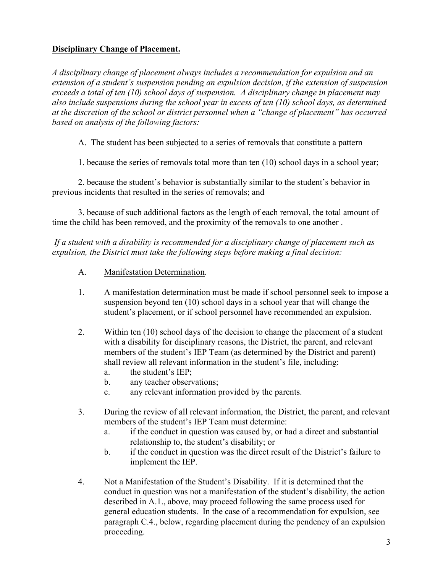## **Disciplinary Change of Placement.**

*A disciplinary change of placement always includes a recommendation for expulsion and an extension of a student's suspension pending an expulsion decision, if the extension of suspension exceeds a total of ten (10) school days of suspension. A disciplinary change in placement may also include suspensions during the school year in excess of ten (10) school days, as determined at the discretion of the school or district personnel when a "change of placement" has occurred based on analysis of the following factors:*

A. The student has been subjected to a series of removals that constitute a pattern—

1. because the series of removals total more than ten (10) school days in a school year;

2. because the student's behavior is substantially similar to the student's behavior in previous incidents that resulted in the series of removals; and

3. because of such additional factors as the length of each removal, the total amount of time the child has been removed, and the proximity of the removals to one another .

*If a student with a disability is recommended for a disciplinary change of placement such as expulsion, the District must take the following steps before making a final decision:*

- A. Manifestation Determination.
- 1. A manifestation determination must be made if school personnel seek to impose a suspension beyond ten (10) school days in a school year that will change the student's placement, or if school personnel have recommended an expulsion.
- 2. Within ten (10) school days of the decision to change the placement of a student with a disability for disciplinary reasons, the District, the parent, and relevant members of the student's IEP Team (as determined by the District and parent) shall review all relevant information in the student's file, including:
	- a. the student's IEP;
	- b. any teacher observations;
	- c. any relevant information provided by the parents.
- 3. During the review of all relevant information, the District, the parent, and relevant members of the student's IEP Team must determine:
	- a. if the conduct in question was caused by, or had a direct and substantial relationship to, the student's disability; or
	- b. if the conduct in question was the direct result of the District's failure to implement the IEP.
- 4. Not a Manifestation of the Student's Disability. If it is determined that the conduct in question was not a manifestation of the student's disability, the action described in A.1., above, may proceed following the same process used for general education students. In the case of a recommendation for expulsion, see paragraph C.4., below, regarding placement during the pendency of an expulsion proceeding.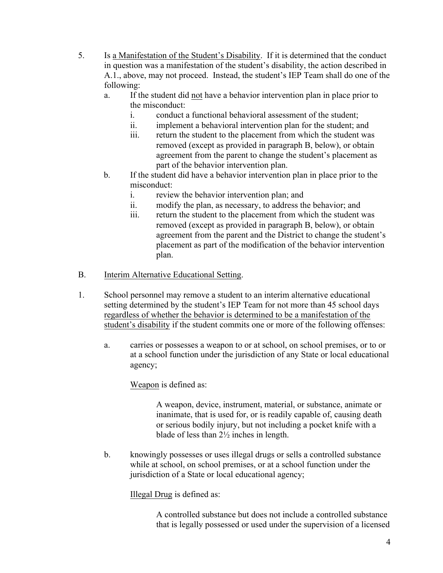- 5. Is a Manifestation of the Student's Disability. If it is determined that the conduct in question was a manifestation of the student's disability, the action described in A.1., above, may not proceed. Instead, the student's IEP Team shall do one of the following:
	- a. If the student did not have a behavior intervention plan in place prior to the misconduct:
		- i. conduct a functional behavioral assessment of the student;
		- ii. implement a behavioral intervention plan for the student; and
		- iii. return the student to the placement from which the student was removed (except as provided in paragraph B, below), or obtain agreement from the parent to change the student's placement as part of the behavior intervention plan.
	- b. If the student did have a behavior intervention plan in place prior to the misconduct:
		- i. review the behavior intervention plan; and
		- ii. modify the plan, as necessary, to address the behavior; and
		- iii. return the student to the placement from which the student was removed (except as provided in paragraph B, below), or obtain agreement from the parent and the District to change the student's placement as part of the modification of the behavior intervention plan.
- B. Interim Alternative Educational Setting.
- 1. School personnel may remove a student to an interim alternative educational setting determined by the student's IEP Team for not more than 45 school days regardless of whether the behavior is determined to be a manifestation of the student's disability if the student commits one or more of the following offenses:
	- a. carries or possesses a weapon to or at school, on school premises, or to or at a school function under the jurisdiction of any State or local educational agency;

Weapon is defined as:

A weapon, device, instrument, material, or substance, animate or inanimate, that is used for, or is readily capable of, causing death or serious bodily injury, but not including a pocket knife with a blade of less than 2½ inches in length.

b. knowingly possesses or uses illegal drugs or sells a controlled substance while at school, on school premises, or at a school function under the jurisdiction of a State or local educational agency;

Illegal Drug is defined as:

A controlled substance but does not include a controlled substance that is legally possessed or used under the supervision of a licensed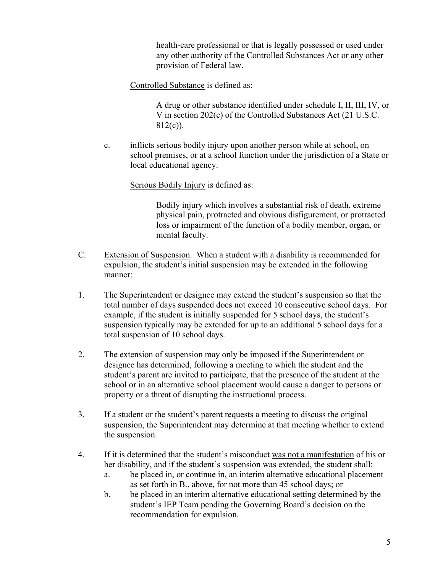health-care professional or that is legally possessed or used under any other authority of the Controlled Substances Act or any other provision of Federal law.

Controlled Substance is defined as:

A drug or other substance identified under schedule I, II, III, IV, or V in section 202(c) of the Controlled Substances Act (21 U.S.C. 812(c)).

c. inflicts serious bodily injury upon another person while at school, on school premises, or at a school function under the jurisdiction of a State or local educational agency.

### Serious Bodily Injury is defined as:

Bodily injury which involves a substantial risk of death, extreme physical pain, protracted and obvious disfigurement, or protracted loss or impairment of the function of a bodily member, organ, or mental faculty.

- C. Extension of Suspension. When a student with a disability is recommended for expulsion, the student's initial suspension may be extended in the following manner:
- 1. The Superintendent or designee may extend the student's suspension so that the total number of days suspended does not exceed 10 consecutive school days. For example, if the student is initially suspended for 5 school days, the student's suspension typically may be extended for up to an additional 5 school days for a total suspension of 10 school days.
- 2. The extension of suspension may only be imposed if the Superintendent or designee has determined, following a meeting to which the student and the student's parent are invited to participate, that the presence of the student at the school or in an alternative school placement would cause a danger to persons or property or a threat of disrupting the instructional process.
- 3. If a student or the student's parent requests a meeting to discuss the original suspension, the Superintendent may determine at that meeting whether to extend the suspension.
- 4. If it is determined that the student's misconduct was not a manifestation of his or her disability, and if the student's suspension was extended, the student shall:
	- a. be placed in, or continue in, an interim alternative educational placement as set forth in B., above, for not more than 45 school days; or
	- b. be placed in an interim alternative educational setting determined by the student's IEP Team pending the Governing Board's decision on the recommendation for expulsion.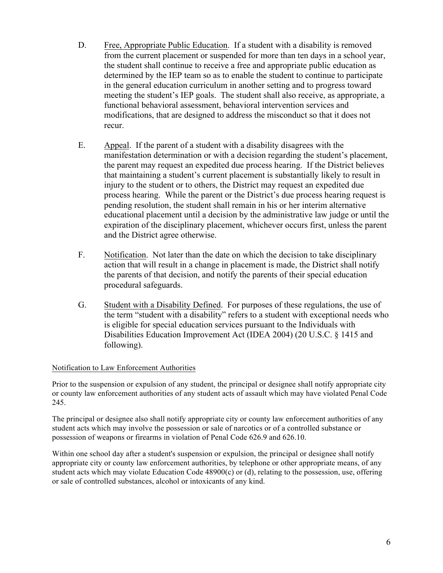- D. Free, Appropriate Public Education. If a student with a disability is removed from the current placement or suspended for more than ten days in a school year, the student shall continue to receive a free and appropriate public education as determined by the IEP team so as to enable the student to continue to participate in the general education curriculum in another setting and to progress toward meeting the student's IEP goals. The student shall also receive, as appropriate, a functional behavioral assessment, behavioral intervention services and modifications, that are designed to address the misconduct so that it does not recur.
- E. Appeal. If the parent of a student with a disability disagrees with the manifestation determination or with a decision regarding the student's placement, the parent may request an expedited due process hearing. If the District believes that maintaining a student's current placement is substantially likely to result in injury to the student or to others, the District may request an expedited due process hearing. While the parent or the District's due process hearing request is pending resolution, the student shall remain in his or her interim alternative educational placement until a decision by the administrative law judge or until the expiration of the disciplinary placement, whichever occurs first, unless the parent and the District agree otherwise.
- F. Notification. Not later than the date on which the decision to take disciplinary action that will result in a change in placement is made, the District shall notify the parents of that decision, and notify the parents of their special education procedural safeguards.
- G. Student with a Disability Defined. For purposes of these regulations, the use of the term "student with a disability" refers to a student with exceptional needs who is eligible for special education services pursuant to the Individuals with Disabilities Education Improvement Act (IDEA 2004) (20 U.S.C. § 1415 and following).

### Notification to Law Enforcement Authorities

Prior to the suspension or expulsion of any student, the principal or designee shall notify appropriate city or county law enforcement authorities of any student acts of assault which may have violated Penal Code 245.

The principal or designee also shall notify appropriate city or county law enforcement authorities of any student acts which may involve the possession or sale of narcotics or of a controlled substance or possession of weapons or firearms in violation of Penal Code 626.9 and 626.10.

Within one school day after a student's suspension or expulsion, the principal or designee shall notify appropriate city or county law enforcement authorities, by telephone or other appropriate means, of any student acts which may violate Education Code 48900(c) or (d), relating to the possession, use, offering or sale of controlled substances, alcohol or intoxicants of any kind.